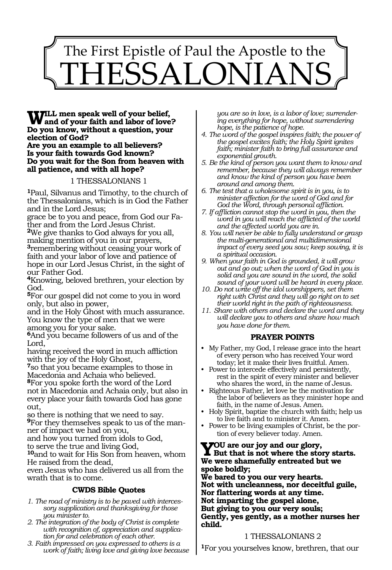# 1497 The First Epistle of Paul the Apostle to the SALON

**Will men speak well of your belief, and of your faith and labor of love? Do you know, without a question, your election of God? Are you an example to all believers? Is your faith towards God known? Do you wait for the Son from heaven with all patience, and with all hope?**

#### 1 THESSALONIANS 1

**<sup>1</sup>**Paul, Silvanus and Timothy, to the church of the Thessalonians, which is in God the Father and in the Lord Jesus;

grace be to you and peace, from God our Father and from the Lord Jesus Christ.

**<sup>2</sup>**We give thanks to God always for you all, making mention of you in our prayers, **<sup>3</sup>**remembering without ceasing your work of faith and your labor of love and patience of hope in our Lord Jesus Christ, in the sight of our Father God.

**<sup>4</sup>**Knowing, beloved brethren, your election by God.

**<sup>5</sup>**For our gospel did not come to you in word only, but also in power,

and in the Holy Ghost with much assurance. You know the type of men that we were among you for your sake.

**<sup>6</sup>**And you became followers of us and of the Lord,

having received the word in much affliction with the joy of the Holy Ghost,

**<sup>7</sup>**so that you became examples to those in Macedonia and Achaia who believed. **<sup>8</sup>**For you spoke forth the word of the Lord not in Macedonia and Achaia only, but also in every place your faith towards God has gone out,

so there is nothing that we need to say.

**9**For they themselves speak to us of the manner of impact we had on you,

and how you turned from idols to God,

to serve the true and living God,

**<sup>10</sup>**and to wait for His Son from heaven, whom He raised from the dead,

even Jesus who has delivered us all from the wrath that is to come.

#### **CWDS Bible Quotes**

- *1. The road of ministry is to be paved with intercessory supplication and thanksgiving for those you minister to.*
- *2. The integration of the body of Christ is complete with recognition of, appreciation and supplication for and celebration of each other.*
- *3. Faith impressed on you expressed to others is a work of faith; living love and giving love because*

*you are so in love, is a labor of love; surrendering everything for hope, without surrendering hope, is the patience of hope.*

- *4. The word of the gospel inspires faith; the power of the gospel excites faith; the Holy Spirit ignites faith; minister faith to bring full assurance and exponential growth.*
- *5. Be the kind of person you want them to know and remember, because they will always remember and know the kind of person you have been around and among them.*
- *6. The test that a wholesome spirit is in you, is to minister affection for the word of God and for God the Word, through personal affliction.*
- *7. If affliction cannot stop the word in you, then the word in you will reach the afflicted of the world and the affected world you are in.*
- *8. You will never be able to fully understand or grasp the multi-generational and multidimensional impact of every seed you sow; keep sowing, it is a spiritual occasion.*
- *9. When your faith in God is grounded, it will grow out and go out; when the word of God in you is solid and you are sound in the word, the solid sound of your word will be heard in every place.*
- *10. Do not write off the idol worshippers, set them right with Christ and they will go right on to set their world right in the path of righteousness.*
- *11. Share with others and declare the word and they will declare you to others and share how much you have done for them.*

#### **PRAYER POINTS**

- My Father, my God, I release grace into the heart of every person who has received Your word today; let it make their lives fruitful. Amen.
- Power to intercede effectively and persistently, rest in the spirit of every minister and believer who shares the word, in the name of Jesus.
- Righteous Father, let love be the motivation for the labor of believers as they minister hope and faith, in the name of Jesus. Amen.
- Holy Spirit, baptize the church with faith; help us to live faith and to minister it. Amen.
- Power to be living examples of Christ, be the portion of every believer today. Amen.

### **Y**OU are our joy and our glory,<br>But that is not where the story starts. **We were shamefully entreated but we spoke boldly;**

**We bared to you our very hearts. Not with uncleanness, nor deceitful guile, Nor flattering words at any time. Not imparting the gospel alone, But giving to you our very souls; Gently, yes gently, as a mother nurses her child.**

#### 1 THESSALONIANS 2

**<sup>1</sup>**For you yourselves know, brethren, that our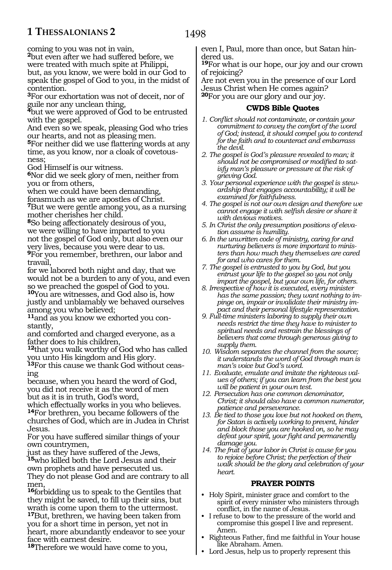## **1 THESSALONIANS 2**

coming to you was not in vain,

**<sup>2</sup>**but even after we had suffered before, we

were treated with much spite at Philippi, but, as you know, we were bold in our God to speak the gospel of God to you, in the midst of contention.

**<sup>3</sup>**For our exhortation was not of deceit, nor of guile nor any unclean thing,

**<sup>4</sup>**but we were approved of God to be entrusted with the gospel.

And even so we speak, pleasing God who tries our hearts, and not as pleasing men.

**<sup>5</sup>**For neither did we use flattering words at any time, as you know, nor a cloak of covetousness;

God Himself is our witness.

**<sup>6</sup>**Nor did we seek glory of men, neither from you or from others,

when we could have been demanding,

forasmuch as we are apostles of Christ. **<sup>7</sup>**But we were gentle among you, as a nursing mother cherishes her child.

**<sup>8</sup>**So being affectionately desirous of you, we were willing to have imparted to you not the gospel of God only, but also even our very lives, because you were dear to us. **<sup>9</sup>**For you remember, brethren, our labor and travail,

for we labored both night and day, that we would not be a burden to any of you, and even so we preached the gospel of God to you. **<sup>10</sup>**You are witnesses, and God also is, how justly and unblamably we behaved ourselves among you who believed;

**11**and as you know we exhorted you constantly,

and comforted and charged everyone, as a father does to his children,

**<sup>12</sup>**that you walk worthy of God who has called you unto His kingdom and His glory.

**<sup>13</sup>**For this cause we thank God without ceas- ing

because, when you heard the word of God, you did not receive it as the word of men but as it is in truth, God's word,

which effectually works in you who believes. **<sup>14</sup>**For brethren, you became followers of the churches of God, which are in Judea in Christ Jesus.

For you have suffered similar things of your own countrymen,

just as they have suffered of the Jews, **<sup>15</sup>**who killed both the Lord Jesus and their own prophets and have persecuted us.

They do not please God and are contrary to all men,

**<sup>16</sup>**forbidding us to speak to the Gentiles that they might be saved, to fill up their sins, but wrath is come upon them to the uttermost.

**<sup>17</sup>**But, brethren, we having been taken from you for a short time in person, yet not in heart, more abundantly endeavor to see your face with earnest desire.

**<sup>18</sup>**Therefore we would have come to you,

even I, Paul, more than once, but Satan hindered us.

**<sup>19</sup>**For what is our hope, our joy and our crown of rejoicing?

Are not even you in the presence of our Lord Jesus Christ when He comes again? **<sup>20</sup>**For you are our glory and our joy.

#### **CWDS Bible Quotes**

- *1. Conflict should not contaminate, or contain your commitment to convey the comfort of the word of God; instead, it should compel you to contend for the faith and to counteract and embarrass the devil.*
- *2. The gospel is God's pleasure revealed to man; it should not be compromised or modified to satisfy man's pleasure or pressure at the risk of grieving God.*
- *3. Your personal experience with the gospel is stewardship that engages accountability; it will be examined for faithfulness.*
- *4. The gospel is not our own design and therefore we cannot engage it with selfish desire or share it with devious motives.*
- *5. In Christ the only presumption positions of elevation assume is humility.*
- *6. In the unwritten code of ministry, caring for and nurturing believers is more important to ministers than how much they themselves are cared for and who cares for them.*
- *7. The gospel is entrusted to you by God, but you entrust your life to the gospel so you not only impart the gospel, but your own life, for others.*
- *8. Irrespective of how it is executed, every minister has the same passion; they want nothing to impinge on, impair or invalidate their ministry impact and their personal lifestyle representation.*
- *9. Full-time ministers laboring to supply their own needs restrict the time they have to minister to spiritual needs and restrain the blessings of believers that come through generous giving to supply them.*
- *10. Wisdom separates the channel from the source; it understands the word of God through man is man's voice but God's word.*
- *11. Evaluate, emulate and imitate the righteous values of others; if you can learn from the best you will be patient in your own test.*
- *12. Persecution has one common denominator, Christ; it should also have a common numerator, patience and perseverance.*
- *13. Be tied to those you love but not hooked on them, for Satan is actively working to prevent, hinder and block those you are hooked on, so he may defeat your spirit, your fight and permanently damage you.*
- *14. The fruit of your labor in Christ is cause for you to rejoice before Christ; the perfection of their walk should be the glory and celebration of your heart.*

#### **PRAYER POINTS**

- Holy Spirit, minister grace and comfort to the spirit of every minister who ministers through conflict, in the name of Jesus.
- I refuse to bow to the pressure of the world and compromise this gospel I live and represent. Amen.
- Righteous Father, find me faithful in Your house like Abraham. Amen.
- Lord Jesus, help us to properly represent this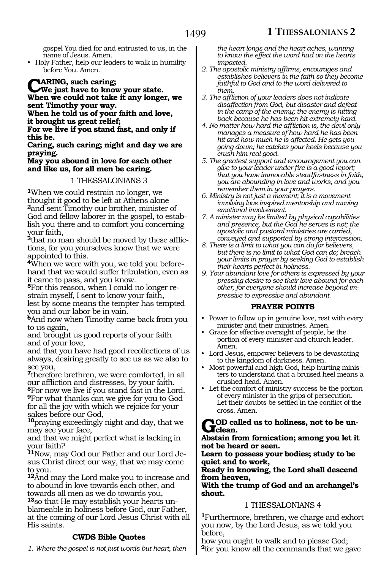gospel You died for and entrusted to us, in the name of Jesus. Amen.

• Holy Father, help our leaders to walk in humility before You. Amen.

**CARING, such caring;<br>We just have to know your state. When we could not take it any longer, we sent Timothy your way.**

**When he told us of your faith and love, it brought us great relief;**

**For we live if you stand fast, and only if this be.**

**Caring, such caring; night and day we are praying.**

#### **May you abound in love for each other and like us, for all men be caring.**

#### 1 THESSALONIANS 3

**<sup>1</sup>**When we could restrain no longer, we thought it good to be left at Athens alone **<sup>2</sup>**and sent Timothy our brother, minister of God and fellow laborer in the gospel, to establish you there and to comfort you concerning your faith,

**3**that no man should be moved by these afflictions, for you yourselves know that we were appointed to this.

**4**When we were with you, we told you beforehand that we would suffer tribulation, even as it came to pass, and you know.

**5**For this reason, when I could no longer restrain myself, I sent to know your faith,

lest by some means the tempter has tempted you and our labor be in vain.

**<sup>6</sup>**And now when Timothy came back from you to us again,

and brought us good reports of your faith and of your love,

and that you have had good recollections of us always, desiring greatly to see us as we also to see you,

**<sup>7</sup>**therefore brethren, we were comforted, in all our affliction and distresses, by your faith.

**<sup>8</sup>**For now we live if you stand fast in the Lord. **<sup>9</sup>**For what thanks can we give for you to God for all the joy with which we rejoice for your sakes before our God,

**<sup>10</sup>**praying exceedingly night and day, that we may see your face,

and that we might perfect what is lacking in your faith?

**11**Now, may God our Father and our Lord Jesus Christ direct our way, that we may come to you.

**<sup>12</sup>**And may the Lord make you to increase and to abound in love towards each other, and towards all men as we do towards you,

**13**so that He may establish your hearts unblameable in holiness before God, our Father, at the coming of our Lord Jesus Christ with all His saints.

#### **CWDS Bible Quotes**

*1. Where the gospel is not just words but heart, then* 

*the heart longs and the heart aches, wanting to know the effect the word had on the hearts impacted.*

- *2. The apostolic ministry affirms, encourages and establishes believers in the faith so they become faithful to God and to the word delivered to them.*
- *3. The affliction of your leaders does not indicate disaffection from God, but disaster and defeat in the camp of the enemy; the enemy is hitting back because he has been hit extremely hard.*
- *4. No matter how hard the affliction is, the devil only manages a measure of how hard he has been hit and how much he is affected. He gets you going down; he catches your heels because you crush him real good.*
- *5. The greatest support and encouragement you can give to your leader under fire is a good report; that you have immovable steadfastness in faith, you are abounding in love and works, and you remember them in your prayers.*
- *6. Ministry is not just a moment; it is a movement involving love inspired mentorship and moving emotional involvement.*
- *7. A minister may be limited by physical capabilities and presence, but the God he serves is not; the apostolic and pastoral ministries are carried, conveyed and supported by strong intercession.*
- *8. There is a limit to what you can do for believers, but there is no limit to what God can do; breach your limits in prayer by seeking God to establish their hearts perfect in holiness.*
- *9. Your abundant love for others is expressed by your pressing desire to see their love abound for each other, for everyone should increase beyond impressive to expressive and abundant.*

#### **PRAYER POINTS**

- Power to follow up in genuine love, rest with every minister and their ministries. Amen.
- Grace for effective oversight of people, be the portion of every minister and church leader. Amen.
- Lord Jesus, empower believers to be devastating to the kingdom of darkness. Amen.
- Most powerful and high God, help hurting ministers to understand that a bruised heel means a crushed head. Amen.
- Let the comfort of ministry success be the portion of every minister in the grips of persecution. Let their doubts be settled in the conflict of the cross. Amen.

**AOD called us to holiness, not to be un-** $\mathbf{J}$ clean.

**Abstain from fornication; among you let it not be heard or seen.**

**Learn to possess your bodies; study to be quiet and to work,**

**Ready in knowing, the Lord shall descend from heaven,**

**With the trump of God and an archangel's shout.**

#### 1 THESSALONIANS 4

**<sup>1</sup>**Furthermore, brethren, we charge and exhort you now, by the Lord Jesus, as we told you before,

how you ought to walk and to please God; **<sup>2</sup>**for you know all the commands that we gave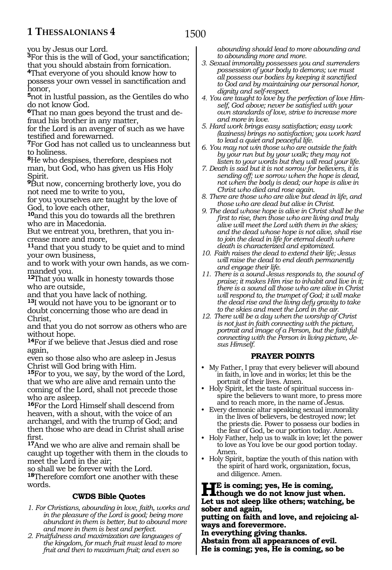# **1 THESSALONIANS 4**

you by Jesus our Lord.

**<sup>3</sup>**For this is the will of God, your sanctification; that you should abstain from fornication.

**<sup>4</sup>**That everyone of you should know how to possess your own vessel in sanctification and honor,

**<sup>5</sup>**not in lustful passion, as the Gentiles do who do not know God.

**6**That no man goes beyond the trust and defraud his brother in any matter,

for the Lord is an avenger of such as we have testified and forewarned.

**<sup>7</sup>**For God has not called us to uncleanness but to holiness.

**<sup>8</sup>**He who despises, therefore, despises not man, but God, who has given us His Holy Spirit.

**<sup>9</sup>**But now, concerning brotherly love, you do not need me to write to you,

for you yourselves are taught by the love of God, to love each other,

**<sup>10</sup>**and this you do towards all the brethren who are in Macedonia.

But we entreat you, brethren, that you increase more and more,

**<sup>11</sup>**and that you study to be quiet and to mind your own business,

and to work with your own hands, as we commanded you.

**<sup>12</sup>**That you walk in honesty towards those who are outside,

and that you have lack of nothing.

**<sup>13</sup>**I would not have you to be ignorant or to doubt concerning those who are dead in Christ,

and that you do not sorrow as others who are without hope.

**<sup>14</sup>**For if we believe that Jesus died and rose again,

even so those also who are asleep in Jesus Christ will God bring with Him.

**<sup>15</sup>**For to you, we say, by the word of the Lord, that we who are alive and remain unto the coming of the Lord, shall not precede those who are asleep.

**<sup>16</sup>**For the Lord Himself shall descend from heaven, with a shout, with the voice of an archangel, and with the trump of God; and then those who are dead in Christ shall arise first.

**<sup>17</sup>**And we who are alive and remain shall be caught up together with them in the clouds to meet the Lord in the air;

so shall we be forever with the Lord. **<sup>18</sup>**Therefore comfort one another with these words.

#### **CWDS Bible Quotes**

- *1. For Christians, abounding in love, faith, works and in the pleasure of the Lord is good; being more abundant in them is better, but to abound more and more in them is best and perfect.*
- *2. Fruitfulness and maximization are languages of the kingdom, for much fruit must lead to more fruit and then to maximum fruit; and even so*

*abounding should lead to more abounding and to abounding more and more.*

- *3. Sexual immorality possesses you and surrenders possession of your body to demons; we must all possess our bodies by keeping it sanctified to God and by maintaining our personal honor, dignity and self-respect.*
- *4. You are taught to love by the perfection of love Himself, God above; never be satisfied with your own standards of love, strive to increase more and more in love.*
- *5. Hard work brings easy satisfaction; easy work (laziness) brings no satisfaction; you work hard to lead a quiet and peaceful life.*
- *6. You may not win those who are outside the faith by your run but by your walk; they may not listen to your words but they will read your life.*
- *7. Death is sad but it is not sorrow for believers, it is sending off; we sorrow when the hope is dead, not when the body is dead; our hope is alive in Christ who died and rose again.*
- *8. There are those who are alive but dead in life, and those who are dead but alive in Christ.*
- *9. The dead whose hope is alive in Christ shall be the first to rise, then those who are living and truly alive will meet the Lord with them in the skies; and the dead whose hope is not alive, shall rise to join the dead in life for eternal death where death is characterized and epitomized.*
- *10. Faith raises the dead to extend their life; Jesus will raise the dead to end death permanently and engage their life.*
- *11. There is a sound Jesus responds to, the sound of praise; it makes Him rise to inhabit and live in it; there is a sound all those who are alive in Christ will respond to, the trumpet of God; it will make the dead rise and the living defy gravity to take to the skies and meet the Lord in the air.*
- *12. There will be a day when the worship of Christ is not just in faith connecting with the picture, portrait and image of a Person, but the faithful connecting with the Person in living picture, Jesus Himself.*

#### **PRAYER POINTS**

- My Father, I pray that every believer will abound in faith, in love and in works; let this be the portrait of their lives. Amen.
- Holy Spirit, let the taste of spiritual success inspire the believers to want more, to press more and to reach more, in the name of Jesus.
- Every demonic altar speaking sexual immorality in the lives of believers, be destroyed now; let the priests die. Power to possess our bodies in the fear of God, be our portion today. Amen.
- Holy Father, help us to walk in love; let the power to love as You love be our good portion today. Amen.
- Holy Spirit, baptize the youth of this nation with the spirit of hard work, organization, focus, and diligence. Amen.

**He is coming; yes, He is coming,<br>
<b>though we do not know just when.**<br> **Let us not also like athomy untaking Let us not sleep like others; watching, be sober and again,**

**putting on faith and love, and rejoicing al- ways and forevermore.**

**In everything giving thanks.**

**Abstain from all appearances of evil. He is coming; yes, He is coming, so be**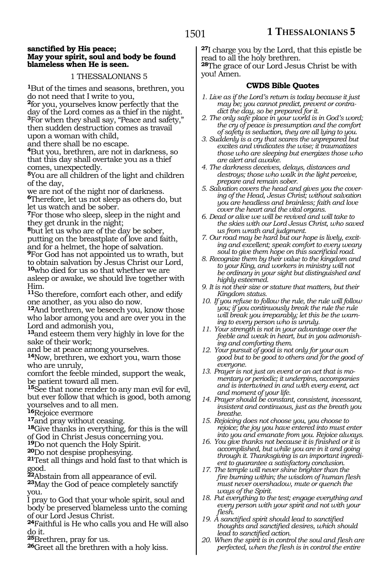#### **sanctified by His peace; May your spirit, soul and body be found blameless when He is seen.**

#### 1 THESSALONIANS 5

**<sup>1</sup>**But of the times and seasons, brethren, you do not need that I write to you,

**<sup>2</sup>**for you, yourselves know perfectly that the day of the Lord comes as a thief in the night. **<sup>3</sup>**For when they shall say, "Peace and safety," then sudden destruction comes as travail upon a woman with child,

and there shall be no escape.

**<sup>4</sup>**But you, brethren, are not in darkness, so that this day shall overtake you as a thief comes, unexpectedly.

**<sup>5</sup>**You are all children of the light and children of the day,

we are not of the night nor of darkness. **<sup>6</sup>**Therefore, let us not sleep as others do, but let us watch and be sober.

**<sup>7</sup>**For those who sleep, sleep in the night and they get drunk in the night;

**<sup>8</sup>**but let us who are of the day be sober, putting on the breastplate of love and faith, and for a helmet, the hope of salvation.

**<sup>9</sup>**For God has not appointed us to wrath, but to obtain salvation by Jesus Christ our Lord, **<sup>10</sup>**who died for us so that whether we are asleep or awake, we should live together with

Him.

**<sup>11</sup>**So therefore, comfort each other, and edify one another, as you also do now.

**<sup>12</sup>**And brethren, we beseech you, know those who labor among you and are over you in the Lord and admonish you,

**<sup>13</sup>**and esteem them very highly in love for the sake of their work;

and be at peace among yourselves.

**<sup>14</sup>**Now, brethren, we exhort you, warn those who are unruly,

comfort the feeble minded, support the weak, be patient toward all men.

**<sup>15</sup>**See that none render to any man evil for evil, but ever follow that which is good, both among yourselves and to all men.<br>**16**Rejoice evermore

**17** and pray without ceasing.<br>**18**Give thanks in everything, for this is the will

of God in Christ Jesus concerning you.<br><sup>19</sup>Do not quench the Holy Spirit.

**20**Do not despise prophesying.<br>**21**Test all things and hold fast to that which is

good.<br>22 Abstain from all appearance of evil.

**23**May the God of peace completely sanctify you.

I pray to God that your whole spirit, soul and body be preserved blameless unto the coming of our Lord Jesus Christ.

**<sup>24</sup>**Faithful is He who calls you and He will also

do it.<br>25Brethren, pray for us.

**26**Greet all the brethren with a holy kiss.

**<sup>27</sup>**I charge you by the Lord, that this epistle be read to all the holy brethren. **<sup>28</sup>**The grace of our Lord Jesus Christ be with

you! Amen.

#### **CWDS Bible Quotes**

- *1. Live as if the Lord's return is today because it just may be; you cannot predict, prevent or contradict the day, so be prepared for it.*
- *2. The only safe place in your world is in God's word; the cry of peace is presumption and the comfort of safety is seduction, they are all lying to you.*
- *3. Suddenly is a cry that scares the unprepared but excites and vindicates the wise; it traumatizes those who are sleeping but energizes those who are alert and awake.*
- *4. The darkness deceives, delays, distances and destroys; those who walk in the light perceive, prepare and remain sober.*
- *5. Salvation covers the head and gives you the covering of the Head, Jesus Christ; without salvation you are headless and brainless; faith and love cover the heart and the vital organs.*
- *6. Dead or alive we will be revived and will take to the skies with our Lord Jesus Christ, who saved us from wrath and judgment.*
- *7. Our road may be hard but our hope is lively, exciting and excellent; speak comfort to every weary soul to give them hope on this sacrificial road.*
- *8. Recognize them by their value to the kingdom and to your King, and workers in ministry will not be ordinary in your sight but distinguished and highly esteemed.*
- *9. It is not their size or stature that matters, but their Kingdom status.*
- *10. If you refuse to follow the rule, the rule will follow you; if you continuously break the rule the rule will break you irreparably; let this be the warning to every person who is unruly.*
- *11. Your strength is not in your advantage over the feeble and weak in heart, but in you admonishing and comforting them.*
- *12. Your pursuit of good is not only for your own good but to be good to others and for the good of everyone.*
- *13. Prayer is not just an event or an act that is momentary or periodic; it underpins, accompanies and is intertwined in and with every event, act and moment of your life.*
- *14. Prayer should be constant, consistent, incessant, insistent and continuous, just as the breath you breathe.*
- *15. Rejoicing does not choose you, you choose to rejoice; the joy you have entered into must enter into you and emanate from you. Rejoice always.*
- *16. You give thanks not because it is finished or it is accomplished, but while you are in it and going through it. Thanksgiving is an important ingredient to guarantee a satisfactory conclusion.*
- *17. The temple will never shine brighter than the fire burning within; the wisdom of human flesh must never overshadow, mute or quench the ways of the Spirit.*
- *18. Put everything to the test; engage everything and every person with your spirit and not with your flesh.*
- *19. A sanctified spirit should lead to sanctified thoughts and sanctified desires, which should lead to sanctified action.*
- *20. When the spirit is in control the soul and flesh are perfected, when the flesh is in control the entire*